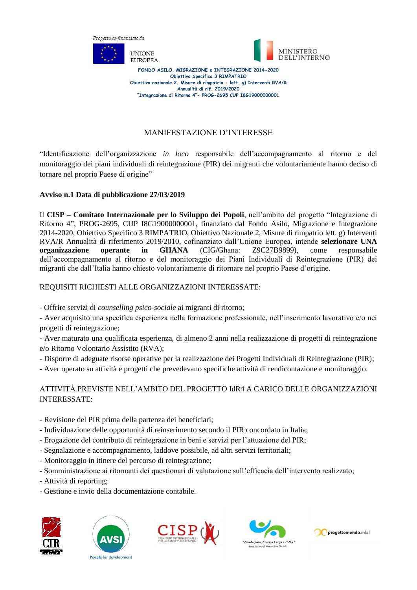



**FONDO ASILO, MIGRAZIONE e INTEGRAZIONE 2014-2020 Obiettivo Specifico 3 RIMPATRIO Obiettivo nazionale 2. Misure di rimpatrio - lett. g) Interventi RVA/R Annualità di rif. 2019/2020 "Integrazione di Ritorno 4"- PROG-2695 CUP I8G19000000001**

#### MANIFESTAZIONE D'INTERESSE

"Identificazione dell'organizzazione *in loco* responsabile dell'accompagnamento al ritorno e del monitoraggio dei piani individuali di reintegrazione (PIR) dei migranti che volontariamente hanno deciso di tornare nel proprio Paese di origine"

#### **Avviso n.1 Data di pubblicazione 27/03/2019**

Il **CISP – Comitato Internazionale per lo Sviluppo dei Popoli**, nell'ambito del progetto "Integrazione di Ritorno 4", PROG-2695, CUP I8G19000000001, finanziato dal Fondo Asilo, Migrazione e Integrazione 2014-2020, Obiettivo Specifico 3 RIMPATRIO, Obiettivo Nazionale 2, Misure di rimpatrio lett. g) Interventi RVA/R Annualità di riferimento 2019/2010, cofinanziato dall'Unione Europea, intende **selezionare UNA organizzazione operante in GHANA** (CIG/Ghana: Z9C27B9899), come responsabile dell'accompagnamento al ritorno e del monitoraggio dei Piani Individuali di Reintegrazione (PIR) dei migranti che dall'Italia hanno chiesto volontariamente di ritornare nel proprio Paese d'origine.

#### REQUISITI RICHIESTI ALLE ORGANIZZAZIONI INTERESSATE:

- Offrire servizi di *counselling psico-sociale* ai migranti di ritorno;

- Aver acquisito una specifica esperienza nella formazione professionale, nell'inserimento lavorativo e/o nei progetti di reintegrazione;

- Aver maturato una qualificata esperienza, di almeno 2 anni nella realizzazione di progetti di reintegrazione e/o Ritorno Volontario Assistito (RVA);

- Disporre di adeguate risorse operative per la realizzazione dei Progetti Individuali di Reintegrazione (PIR);

- Aver operato su attività e progetti che prevedevano specifiche attività di rendicontazione e monitoraggio.

#### ATTIVITÀ PREVISTE NELL'AMBITO DEL PROGETTO IdR4 A CARICO DELLE ORGANIZZAZIONI INTERESSATE:

- Revisione del PIR prima della partenza dei beneficiari;
- Individuazione delle opportunità di reinserimento secondo il PIR concordato in Italia;
- Erogazione del contributo di reintegrazione in beni e servizi per l'attuazione del PIR;
- Segnalazione e accompagnamento, laddove possibile, ad altri servizi territoriali;
- Monitoraggio in itinere del percorso di reintegrazione;
- Somministrazione ai ritornanti dei questionari di valutazione sull'efficacia dell'intervento realizzato;
- Attività di reporting;
- Gestione e invio della documentazione contabile.









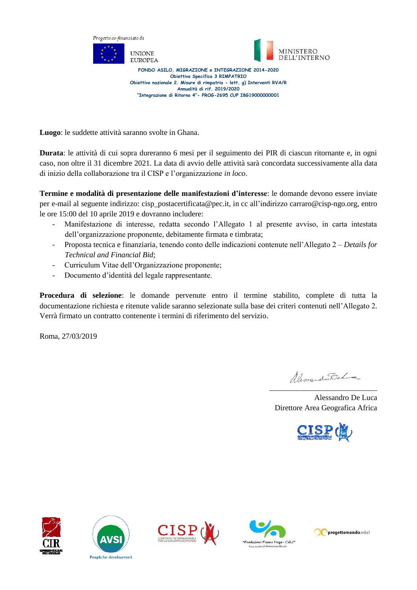

**Luogo**: le suddette attività saranno svolte in Ghana.

**Durata**: le attività di cui sopra dureranno 6 mesi per il seguimento dei PIR di ciascun ritornante e, in ogni caso, non oltre il 31 dicembre 2021. La data di avvio delle attività sarà concordata successivamente alla data di inizio della collaborazione tra il CISP e l'organizzazione *in loco*.

**Termine e modalità di presentazione delle manifestazioni d'interesse**: le domande devono essere inviate per e-mail al seguente indirizzo: cisp\_postacertificata@pec.it, in cc all'indirizzo carraro@cisp-ngo.org, entro le ore 15:00 del 10 aprile 2019 e dovranno includere:

- Manifestazione di interesse, redatta secondo l'Allegato 1 al presente avviso, in carta intestata dell'organizzazione proponente, debitamente firmata e timbrata;
- Proposta tecnica e finanziaria, tenendo conto delle indicazioni contenute nell'Allegato 2 *Details for Technical and Financial Bid*;
- Curriculum Vitae dell'Organizzazione proponente;
- Documento d'identità del legale rappresentante.

**Procedura di selezione**: le domande pervenute entro il termine stabilito, complete di tutta la documentazione richiesta e ritenute valide saranno selezionate sulla base dei criteri contenuti nell'Allegato 2. Verrà firmato un contratto contenente i termini di riferimento del servizio.

Roma, 27/03/2019

Alim do Dehma \_\_\_\_\_\_\_\_\_\_\_\_\_\_\_\_\_\_\_\_\_\_\_\_\_\_\_\_

Alessandro De Luca Direttore Area Geografica Africa











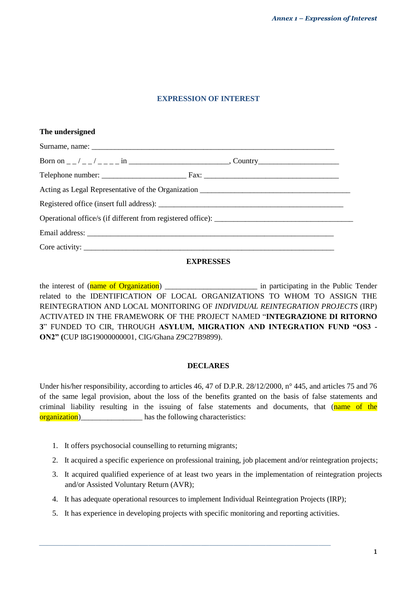#### **EXPRESSION OF INTEREST**

| The undersigned |
|-----------------|
|                 |
|                 |
|                 |
|                 |
|                 |
|                 |
|                 |
|                 |

#### **EXPRESSES**

the interest of (name of Organization) \_\_\_\_\_\_\_\_\_\_\_\_\_\_\_\_\_\_\_\_\_\_\_\_ in participating in the Public Tender related to the IDENTIFICATION OF LOCAL ORGANIZATIONS TO WHOM TO ASSIGN THE REINTEGRATION AND LOCAL MONITORING OF *INDIVIDUAL REINTEGRATION PROJECTS* (IRP) ACTIVATED IN THE FRAMEWORK OF THE PROJECT NAMED "**INTEGRAZIONE DI RITORNO 3**" FUNDED TO CIR, THROUGH **ASYLUM, MIGRATION AND INTEGRATION FUND "OS3 - ON2" (**CUP I8G19000000001, CIG/Ghana Z9C27B9899).

#### **DECLARES**

Under his/her responsibility, according to articles 46, 47 of D.P.R. 28/12/2000, n° 445, and articles 75 and 76 of the same legal provision, about the loss of the benefits granted on the basis of false statements and criminal liability resulting in the issuing of false statements and documents, that (name of the organization) has the following characteristics:

- 1. It offers psychosocial counselling to returning migrants;
- 2. It acquired a specific experience on professional training, job placement and/or reintegration projects;
- 3. It acquired qualified experience of at least two years in the implementation of reintegration projects and/or Assisted Voluntary Return (AVR);
- 4. It has adequate operational resources to implement Individual Reintegration Projects (IRP);
- 5. It has experience in developing projects with specific monitoring and reporting activities.

*\_\_\_\_\_\_\_\_\_\_\_\_\_\_\_\_\_\_\_\_\_\_\_\_\_\_\_\_\_\_\_\_\_\_\_\_\_\_\_\_\_\_\_\_\_\_\_\_\_\_\_\_\_\_\_\_\_\_\_\_\_\_\_\_\_\_\_\_\_\_\_\_*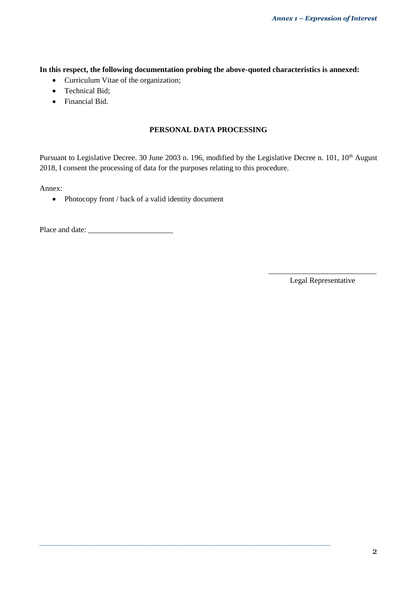**In this respect, the following documentation probing the above-quoted characteristics is annexed:**

- Curriculum Vitae of the organization;
- Technical Bid;
- Financial Bid.

#### **PERSONAL DATA PROCESSING**

Pursuant to Legislative Decree. 30 June 2003 n. 196, modified by the Legislative Decree n. 101, 10<sup>th</sup> August 2018, I consent the processing of data for the purposes relating to this procedure.

*\_\_\_\_\_\_\_\_\_\_\_\_\_\_\_\_\_\_\_\_\_\_\_\_\_\_\_\_\_\_\_\_\_\_\_\_\_\_\_\_\_\_\_\_\_\_\_\_\_\_\_\_\_\_\_\_\_\_\_\_\_\_\_\_\_\_\_\_\_\_\_\_*

Annex:

• Photocopy front / back of a valid identity document

Place and date: \_\_\_\_\_\_\_\_\_\_\_\_\_\_\_\_\_\_\_\_\_\_

\_\_\_\_\_\_\_\_\_\_\_\_\_\_\_\_\_\_\_\_\_\_\_\_\_\_\_\_ Legal Representative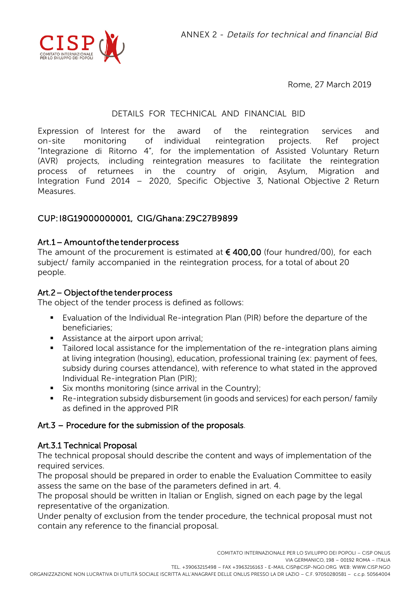

Rome, 27 March 2019

## DETAILS FOR TECHNICAL AND FINANCIAL BID

Expression of Interest for the award of the reintegration services and on-site monitoring of individual reintegration projects. Ref project "Integrazione di Ritorno 4", for the implementation of Assisted Voluntary Return (AVR) projects, including reintegration measures to facilitate the reintegration process of returnees in the country of origin, Asylum, Migration and Integration Fund 2014 – 2020, Specific Objective 3, National Objective 2 Return **Measures** 

## CUP: I8G19000000001, CIG/Ghana: Z9C27B9899

### Art.1 – Amount of the tender process

The amount of the procurement is estimated at  $\epsilon$  400,00 (four hundred/00), for each subject/ family accompanied in the reintegration process, for a total of about 20 people.

### Art.2 – Object of the tender process

The object of the tender process is defined as follows:

- Evaluation of the Individual Re-integration Plan (PIR) before the departure of the beneficiaries;
- **Assistance at the airport upon arrival;**
- **Tailored local assistance for the implementation of the re-integration plans aiming** at living integration (housing), education, professional training (ex: payment of fees, subsidy during courses attendance), with reference to what stated in the approved Individual Re-integration Plan (PIR);
- Six months monitoring (since arrival in the Country);
- Re-integration subsidy disbursement (in goods and services) for each person/ family as defined in the approved PIR

## Art.3 – Procedure for the submission of the proposals.

## Art.3.1 Technical Proposal

The technical proposal should describe the content and ways of implementation of the required services.

The proposal should be prepared in order to enable the Evaluation Committee to easily assess the same on the base of the parameters defined in art. 4.

The proposal should be written in Italian or English, signed on each page by the legal representative of the organization.

Under penalty of exclusion from the tender procedure, the technical proposal must not contain any reference to the financial proposal.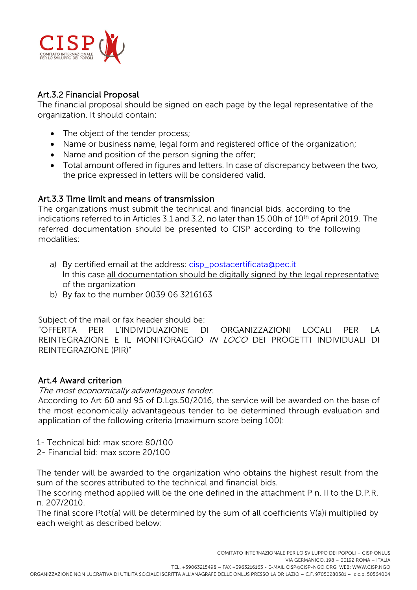

# Art.3.2 Financial Proposal

The financial proposal should be signed on each page by the legal representative of the organization. It should contain:

- The object of the tender process;
- Name or business name, legal form and registered office of the organization;
- Name and position of the person signing the offer;
- Total amount offered in figures and letters. In case of discrepancy between the two, the price expressed in letters will be considered valid.

## Art.3.3 Time limit and means of transmission

The organizations must submit the technical and financial bids, according to the indications referred to in Articles 3.1 and 3.2, no later than 15.00h of 10<sup>th</sup> of April 2019. The referred documentation should be presented to CISP according to the following modalities:

- a) By certified email at the address: cisp\_postacertificata@pec.it In this case all documentation should be digitally signed by the legal representative of the organization
- b) By fax to the number 0039 06 3216163

Subject of the mail or fax header should be:

"OFFERTA PER L'INDIVIDUAZIONE DI ORGANIZZAZIONI LOCALI PER LA REINTEGRAZIONE E IL MONITORAGGIO IN LOCO DEI PROGETTI INDIVIDUALI DI REINTEGRAZIONE (PIR)"

# Art.4 Award criterion

## The most economically advantageous tender.

According to Art 60 and 95 of D.Lgs.50/2016, the service will be awarded on the base of the most economically advantageous tender to be determined through evaluation and application of the following criteria (maximum score being 100):

- 1- Technical bid: max score 80/100
- 2- Financial bid: max score 20/100

The tender will be awarded to the organization who obtains the highest result from the sum of the scores attributed to the technical and financial bids.

The scoring method applied will be the one defined in the attachment P n. II to the D.P.R. n. 207/2010.

The final score Ptot(a) will be determined by the sum of all coefficients V(a)i multiplied by each weight as described below: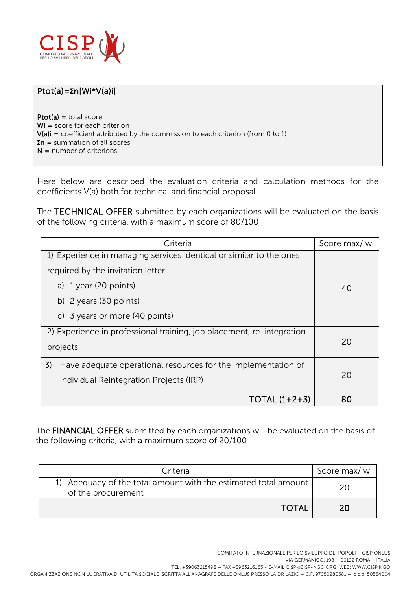

# Ptot(a)=**Σ**n[Wi\*V(a)i]

Ptot(a) = total score; Wi = score for each criterion  $V(a)i = coefficient$  attributed by the commission to each criterion (from 0 to 1) **Σ**n = summation of all scores N = number of criterions

Here below are described the evaluation criteria and calculation methods for the coefficients V(a) both for technical and financial proposal.

The TECHNICAL OFFER submitted by each organizations will be evaluated on the basis of the following criteria, with a maximum score of 80/100

| Criteria                                                              | Score max/ wi |  |  |
|-----------------------------------------------------------------------|---------------|--|--|
| 1) Experience in managing services identical or similar to the ones   |               |  |  |
| required by the invitation letter                                     |               |  |  |
| a) 1 year (20 points)                                                 | 40            |  |  |
| b) $2$ years (30 points)                                              |               |  |  |
| c) 3 years or more $(40$ points)                                      |               |  |  |
| 2) Experience in professional training, job placement, re-integration |               |  |  |
| projects                                                              | 20            |  |  |
| 3)<br>Have adequate operational resources for the implementation of   |               |  |  |
| Individual Reintegration Projects (IRP)                               | 20            |  |  |
| TOTAL $(1+2+3)$                                                       | 80            |  |  |

The FINANCIAL OFFER submitted by each organizations will be evaluated on the basis of the following criteria, with a maximum score of 20/100

| Criteria                                                                              | Score max/ wi |
|---------------------------------------------------------------------------------------|---------------|
| 1) Adequacy of the total amount with the estimated total amount<br>of the procurement | 2Λ            |
| <b>TOTAL</b>                                                                          | 20            |